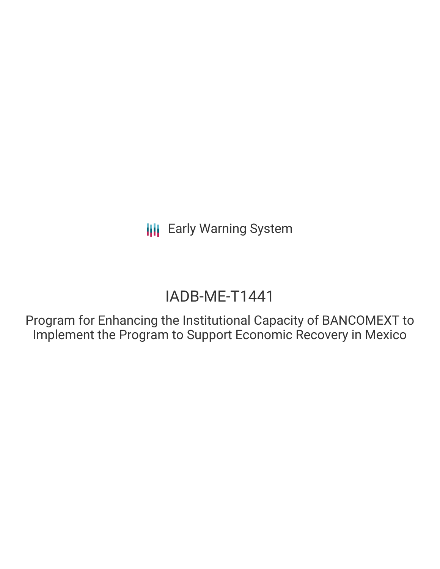**III** Early Warning System

# IADB-ME-T1441

Program for Enhancing the Institutional Capacity of BANCOMEXT to Implement the Program to Support Economic Recovery in Mexico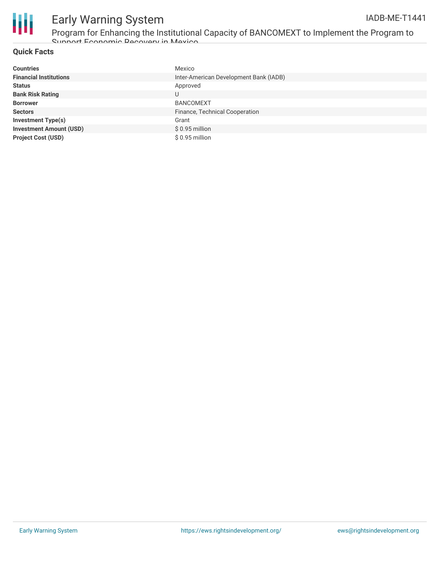

## Early Warning System

Program for Enhancing the Institutional Capacity of BANCOMEXT to Implement the Program to Support Economic Recovery in Mexico

### **Quick Facts**

| <b>Countries</b>               | Mexico                                 |
|--------------------------------|----------------------------------------|
| <b>Financial Institutions</b>  | Inter-American Development Bank (IADB) |
| <b>Status</b>                  | Approved                               |
| <b>Bank Risk Rating</b>        | U                                      |
| <b>Borrower</b>                | <b>BANCOMEXT</b>                       |
| <b>Sectors</b>                 | Finance, Technical Cooperation         |
| <b>Investment Type(s)</b>      | Grant                                  |
| <b>Investment Amount (USD)</b> | $$0.95$ million                        |
| <b>Project Cost (USD)</b>      | $$0.95$ million                        |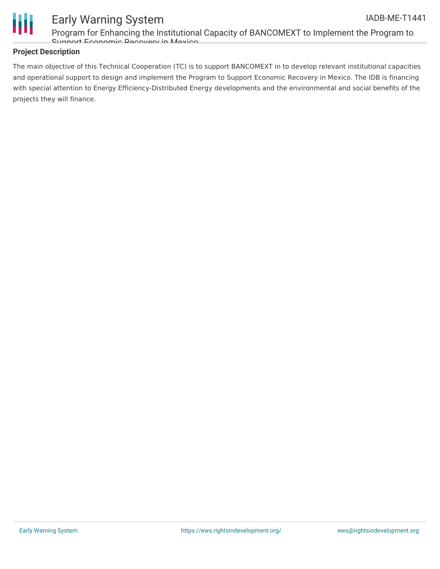

### Early Warning System

Program for Enhancing the Institutional Capacity of BANCOMEXT to Implement the Program to Support Economic Recovery in Mexico

### **Project Description**

The main objective of this Technical Cooperation (TC) is to support BANCOMEXT in to develop relevant institutional capacities and operational support to design and implement the Program to Support Economic Recovery in Mexico. The IDB is financing with special attention to Energy Efficiency-Distributed Energy developments and the environmental and social benefits of the projects they will finance.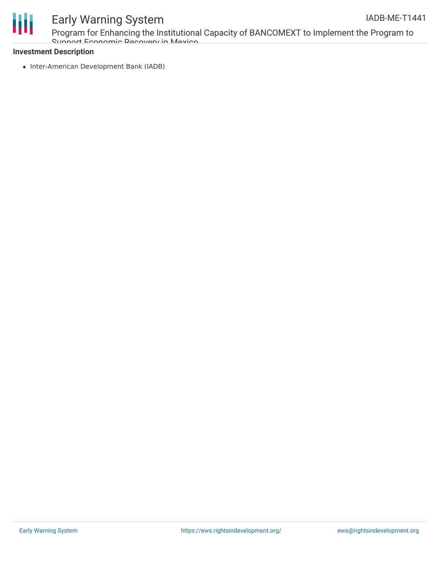

### Early Warning System

Program for Enhancing the Institutional Capacity of BANCOMEXT to Implement the Program to Support Economic Recovery in Mexico

#### **Investment Description**

• Inter-American Development Bank (IADB)